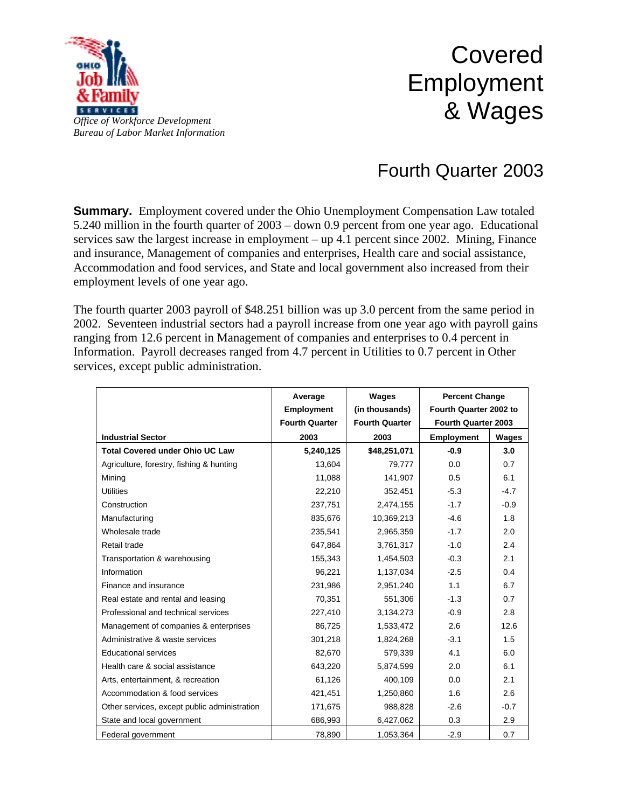

## Covered Employment & Wages

## Fourth Quarter 2003

**Summary.** Employment covered under the Ohio Unemployment Compensation Law totaled 5.240 million in the fourth quarter of 2003 – down 0.9 percent from one year ago. Educational services saw the largest increase in employment – up 4.1 percent since 2002. Mining, Finance and insurance, Management of companies and enterprises, Health care and social assistance, Accommodation and food services, and State and local government also increased from their employment levels of one year ago.

The fourth quarter 2003 payroll of \$48.251 billion was up 3.0 percent from the same period in 2002. Seventeen industrial sectors had a payroll increase from one year ago with payroll gains ranging from 12.6 percent in Management of companies and enterprises to 0.4 percent in Information. Payroll decreases ranged from 4.7 percent in Utilities to 0.7 percent in Other services, except public administration.

|                                              | Average               | Wages                 | <b>Percent Change</b><br>Fourth Quarter 2002 to<br><b>Fourth Quarter 2003</b> |        |
|----------------------------------------------|-----------------------|-----------------------|-------------------------------------------------------------------------------|--------|
|                                              | <b>Employment</b>     | (in thousands)        |                                                                               |        |
|                                              | <b>Fourth Quarter</b> | <b>Fourth Quarter</b> |                                                                               |        |
| <b>Industrial Sector</b>                     | 2003                  | 2003                  | <b>Employment</b>                                                             | Wages  |
| <b>Total Covered under Ohio UC Law</b>       | 5,240,125             | \$48,251,071          | $-0.9$                                                                        | 3.0    |
| Agriculture, forestry, fishing & hunting     | 13,604                | 79.777                | 0.0                                                                           | 0.7    |
| Mining                                       | 11,088                | 141,907               | 0.5                                                                           | 6.1    |
| <b>Utilities</b>                             | 22,210                | 352,451               | $-5.3$                                                                        | $-4.7$ |
| Construction                                 | 237,751               | 2,474,155             | $-1.7$                                                                        | $-0.9$ |
| Manufacturing                                | 835,676               | 10,369,213            | $-4.6$                                                                        | 1.8    |
| Wholesale trade                              | 235,541               | 2,965,359             | $-1.7$                                                                        | 2.0    |
| Retail trade                                 | 647,864               | 3,761,317             | $-1.0$                                                                        | 2.4    |
| Transportation & warehousing                 | 155,343               | 1,454,503             | $-0.3$                                                                        | 2.1    |
| Information                                  | 96,221                | 1,137,034             | $-2.5$                                                                        | 0.4    |
| Finance and insurance                        | 231,986               | 2,951,240             | 1.1                                                                           | 6.7    |
| Real estate and rental and leasing           | 70,351                | 551,306               | $-1.3$                                                                        | 0.7    |
| Professional and technical services          | 227,410               | 3,134,273             | $-0.9$                                                                        | 2.8    |
| Management of companies & enterprises        | 86,725                | 1,533,472             | 2.6                                                                           | 12.6   |
| Administrative & waste services              | 301,218               | 1,824,268             | $-3.1$                                                                        | 1.5    |
| <b>Educational services</b>                  | 82,670                | 579,339               | 4.1                                                                           | 6.0    |
| Health care & social assistance              | 643,220               | 5,874,599             | 2.0                                                                           | 6.1    |
| Arts, entertainment, & recreation            | 61,126                | 400,109               | 0.0                                                                           | 2.1    |
| Accommodation & food services                | 421,451               | 1,250,860             | 1.6                                                                           | 2.6    |
| Other services, except public administration | 171,675               | 988,828               | $-2.6$                                                                        | $-0.7$ |
| State and local government                   | 686,993               | 6,427,062             | 0.3                                                                           | 2.9    |
| Federal government                           | 78.890                | 1.053.364             | $-2.9$                                                                        | 0.7    |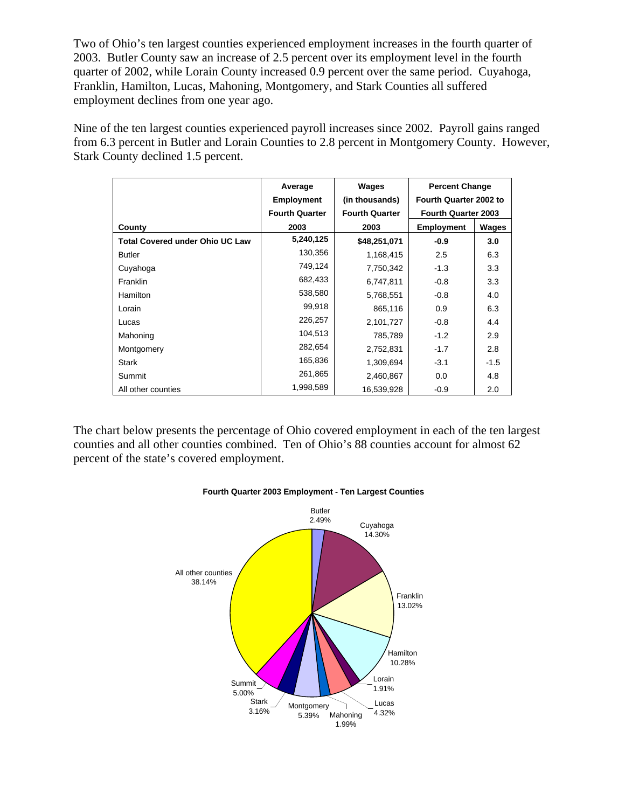Two of Ohio's ten largest counties experienced employment increases in the fourth quarter of 2003. Butler County saw an increase of 2.5 percent over its employment level in the fourth quarter of 2002, while Lorain County increased 0.9 percent over the same period. Cuyahoga, Franklin, Hamilton, Lucas, Mahoning, Montgomery, and Stark Counties all suffered employment declines from one year ago.

Nine of the ten largest counties experienced payroll increases since 2002. Payroll gains ranged from 6.3 percent in Butler and Lorain Counties to 2.8 percent in Montgomery County. However, Stark County declined 1.5 percent.

|                                        | Average               | Wages                 | <b>Percent Change</b><br>Fourth Quarter 2002 to |        |
|----------------------------------------|-----------------------|-----------------------|-------------------------------------------------|--------|
|                                        | <b>Employment</b>     | (in thousands)        |                                                 |        |
|                                        | <b>Fourth Quarter</b> | <b>Fourth Quarter</b> | <b>Fourth Quarter 2003</b>                      |        |
| County                                 | 2003                  | 2003                  | <b>Employment</b>                               | Wages  |
| <b>Total Covered under Ohio UC Law</b> | 5,240,125             | \$48,251,071          | $-0.9$                                          | 3.0    |
| <b>Butler</b>                          | 130,356               | 1,168,415             | 2.5                                             | 6.3    |
| Cuyahoga                               | 749,124               | 7,750,342             | $-1.3$                                          | 3.3    |
| Franklin                               | 682,433               | 6,747,811             | $-0.8$                                          | 3.3    |
| <b>Hamilton</b>                        | 538,580               | 5,768,551             | $-0.8$                                          | 4.0    |
| Lorain                                 | 99,918                | 865,116               | 0.9                                             | 6.3    |
| Lucas                                  | 226,257               | 2,101,727             | $-0.8$                                          | 4.4    |
| Mahoning                               | 104,513               | 785,789               | $-1.2$                                          | 2.9    |
| Montgomery                             | 282,654               | 2,752,831             | $-1.7$                                          | 2.8    |
| <b>Stark</b>                           | 165,836               | 1,309,694             | $-3.1$                                          | $-1.5$ |
| Summit                                 | 261,865               | 2,460,867             | 0.0                                             | 4.8    |
| All other counties                     | 1,998,589             | 16,539,928            | $-0.9$                                          | 2.0    |

The chart below presents the percentage of Ohio covered employment in each of the ten largest counties and all other counties combined. Ten of Ohio's 88 counties account for almost 62 percent of the state's covered employment.



## **Fourth Quarter 2003 Employment - Ten Largest Counties**